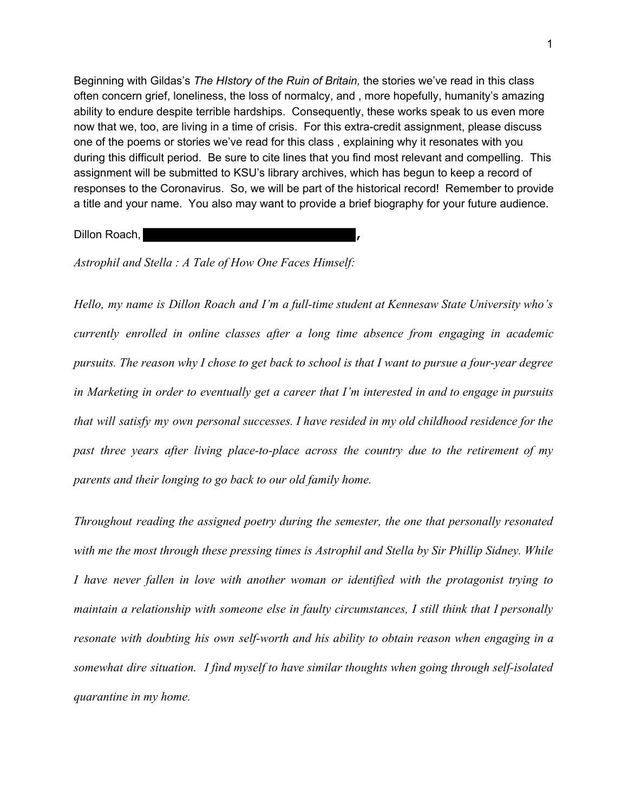Beginning with Gildas's *The HIstory of the Ruin of Britain,* the stories we've read in this class often concern grief, loneliness, the loss of normalcy, and , more hopefully, humanity's amazing ability to endure despite terrible hardships. Consequently, these works speak to us even more now that we, too, are living in a time of crisis. For this extra-credit assignment, please discuss one of the poems or stories we've read for this class , explaining why it resonates with you during this difficult period. Be sure to cite lines that you find most relevant and compelling. This assignment will be submitted to KSU's library archives, which has begun to keep a record of responses to the Coronavirus. So, we will be part of the historical record! Remember to provide a title and your name. You also may want to provide a brief biography for your future audience.

Dillon Roach, **,**

*Astrophil and Stella : A Tale of How One Faces Himself:*

*Hello, my name is Dillon Roach and I'm a full-time student at Kennesaw State University who's currently enrolled in online classes after a long time absence from engaging in academic pursuits. The reason why I chose to get back to school is that I want to pursue a four-year degree in Marketing in order to eventually get a career that I'm interested in and to engage in pursuits that will satisfy my own personal successes. I have resided in my old childhood residence for the past three years after living place-to-place across the country due to the retirement of my parents and their longing to go back to our old family home.*

*Throughout reading the assigned poetry during the semester, the one that personally resonated with me the most through these pressing times is Astrophil and Stella by Sir Phillip Sidney. While I have never fallen in love with another woman or identified with the protagonist trying to maintain a relationship with someone else in faulty circumstances, I still think that I personally resonate with doubting his own self-worth and his ability to obtain reason when engaging in a somewhat dire situation. I find myself to have similar thoughts when going through self-isolated quarantine in my home.*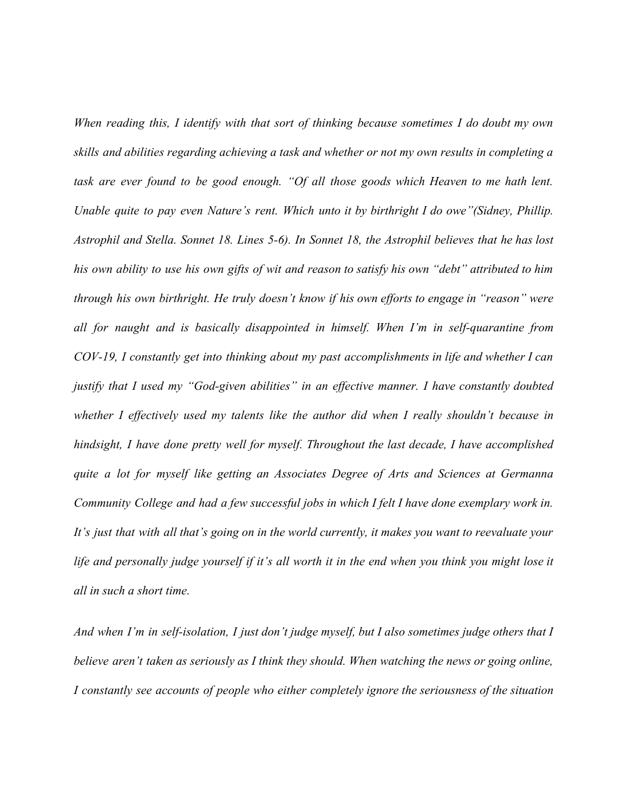*When reading this, I identify with that sort of thinking because sometimes I do doubt my own skills and abilities regarding achieving a task and whether or not my own results in completing a task are ever found to be good enough. "Of all those goods which Heaven to me hath lent. Unable quite to pay even Nature's rent. Which unto it by birthright I do owe"(Sidney, Phillip. Astrophil and Stella. Sonnet 18. Lines 5-6). In Sonnet 18, the Astrophil believes that he has lost his own ability to use his own gifts of wit and reason to satisfy his own "debt" attributed to him through his own birthright. He truly doesn't know if his own efforts to engage in "reason" were all for naught and is basically disappointed in himself. When I'm in self-quarantine from COV-19, I constantly get into thinking about my past accomplishments in life and whether I can justify that I used my "God-given abilities" in an effective manner. I have constantly doubted whether I effectively used my talents like the author did when I really shouldn't because in hindsight, I have done pretty well for myself. Throughout the last decade, I have accomplished quite a lot for myself like getting an Associates Degree of Arts and Sciences at Germanna Community College and had a few successful jobs in which I felt I have done exemplary work in. It's just that with all that's going on in the world currently, it makes you want to reevaluate your life and personally judge yourself if it's all worth it in the end when you think you might lose it all in such a short time.*

*And when I'm in self-isolation, I just don't judge myself, but I also sometimes judge others that I believe aren't taken as seriously as I think they should. When watching the news or going online, I constantly see accounts of people who either completely ignore the seriousness of the situation*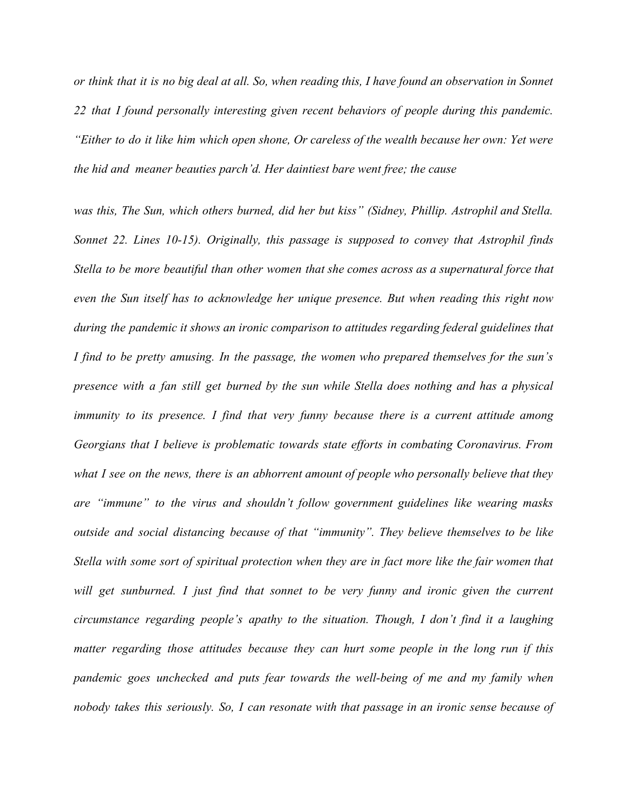*or think that it is no big deal at all. So, when reading this, I have found an observation in Sonnet 22 that I found personally interesting given recent behaviors of people during this pandemic. "Either to do it like him which open shone, Or careless of the wealth because her own: Yet were the hid and meaner beauties parch'd. Her daintiest bare went free; the cause*

*was this, The Sun, which others burned, did her but kiss" (Sidney, Phillip. Astrophil and Stella. Sonnet 22. Lines 10-15). Originally, this passage is supposed to convey that Astrophil finds Stella to be more beautiful than other women that she comes across as a supernatural force that even the Sun itself has to acknowledge her unique presence. But when reading this right now during the pandemic it shows an ironic comparison to attitudes regarding federal guidelines that I find to be pretty amusing. In the passage, the women who prepared themselves for the sun's presence with a fan still get burned by the sun while Stella does nothing and has a physical immunity to its presence. I find that very funny because there is a current attitude among Georgians that I believe is problematic towards state efforts in combating Coronavirus. From what I see on the news, there is an abhorrent amount of people who personally believe that they are "immune" to the virus and shouldn't follow government guidelines like wearing masks outside and social distancing because of that "immunity". They believe themselves to be like Stella with some sort of spiritual protection when they are in fact more like the fair women that will get sunburned. I just find that sonnet to be very funny and ironic given the current circumstance regarding people's apathy to the situation. Though, I don't find it a laughing matter regarding those attitudes because they can hurt some people in the long run if this pandemic goes unchecked and puts fear towards the well-being of me and my family when nobody takes this seriously. So, I can resonate with that passage in an ironic sense because of*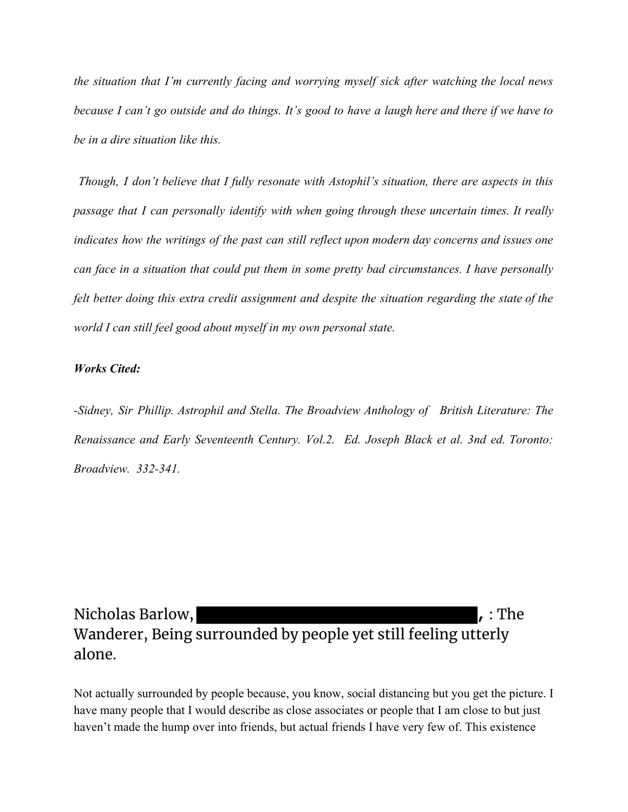*the situation that I'm currently facing and worrying myself sick after watching the local news because I can't go outside and do things. It's good to have a laugh here and there if we have to be in a dire situation like this.*

*Though, I don't believe that I fully resonate with Astophil's situation, there are aspects in this passage that I can personally identify with when going through these uncertain times. It really indicates how the writings of the past can still reflect upon modern day concerns and issues one can face in a situation that could put them in some pretty bad circumstances. I have personally felt better doing this extra credit assignment and despite the situation regarding the state of the world I can still feel good about myself in my own personal state.*

#### *Works Cited:*

*-Sidney, Sir Phillip. Astrophil and Stella. The Broadview Anthology of British Literature: The Renaissance and Early Seventeenth Century. Vol.2. Ed. Joseph Black et al. 3nd ed. Toronto: Broadview. 332-341.*

Nicholas Barlow, **the contract of the contract of the contract of the contract of the contract of the contract of the contract of the contract of the contract of the contract of the contract of the contract of the contract** Wanderer, Being surrounded by people yet still feeling utterly alone.

Not actually surrounded by people because, you know, social distancing but you get the picture. I have many people that I would describe as close associates or people that I am close to but just haven't made the hump over into friends, but actual friends I have very few of. This existence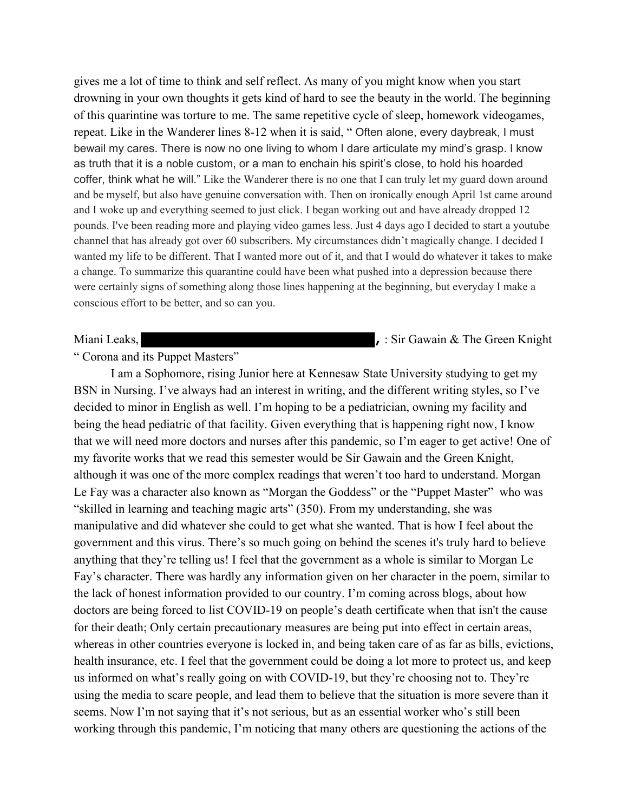gives me a lot of time to think and self reflect. As many of you might know when you start drowning in your own thoughts it gets kind of hard to see the beauty in the world. The beginning of this quarintine was torture to me. The same repetitive cycle of sleep, homework videogames, repeat. Like in the Wanderer lines 8-12 when it is said, " Often alone, every daybreak, I must bewail my cares. There is now no one living to whom I dare articulate my mind's grasp. I know as truth that it is a noble custom, or a man to enchain his spirit's close, to hold his hoarded coffer, think what he will." Like the Wanderer there is no one that I can truly let my guard down around and be myself, but also have genuine conversation with. Then on ironically enough April 1st came around and I woke up and everything seemed to just click. I began working out and have already dropped 12 pounds. I've been reading more and playing video games less. Just 4 days ago I decided to start a youtube channel that has already got over 60 subscribers. My circumstances didn't magically change. I decided I wanted my life to be different. That I wanted more out of it, and that I would do whatever it takes to make a change. To summarize this quarantine could have been what pushed into a depression because there were certainly signs of something along those lines happening at the beginning, but everyday I make a conscious effort to be better, and so can you.

Miani Leaks, **Miani Leaks**, **,** *sir Gawain & The Green Knight* 

# " Corona and its Puppet Masters"

I am a Sophomore, rising Junior here at Kennesaw State University studying to get my BSN in Nursing. I've always had an interest in writing, and the different writing styles, so I've decided to minor in English as well. I'm hoping to be a pediatrician, owning my facility and being the head pediatric of that facility. Given everything that is happening right now, I know that we will need more doctors and nurses after this pandemic, so I'm eager to get active! One of my favorite works that we read this semester would be Sir Gawain and the Green Knight, although it was one of the more complex readings that weren't too hard to understand. Morgan Le Fay was a character also known as "Morgan the Goddess" or the "Puppet Master" who was "skilled in learning and teaching magic arts" (350). From my understanding, she was manipulative and did whatever she could to get what she wanted. That is how I feel about the government and this virus. There's so much going on behind the scenes it's truly hard to believe anything that they're telling us! I feel that the government as a whole is similar to Morgan Le Fay's character. There was hardly any information given on her character in the poem, similar to the lack of honest information provided to our country. I'm coming across blogs, about how doctors are being forced to list COVID-19 on people's death certificate when that isn't the cause for their death; Only certain precautionary measures are being put into effect in certain areas, whereas in other countries everyone is locked in, and being taken care of as far as bills, evictions, health insurance, etc. I feel that the government could be doing a lot more to protect us, and keep us informed on what's really going on with COVID-19, but they're choosing not to. They're using the media to scare people, and lead them to believe that the situation is more severe than it seems. Now I'm not saying that it's not serious, but as an essential worker who's still been working through this pandemic, I'm noticing that many others are questioning the actions of the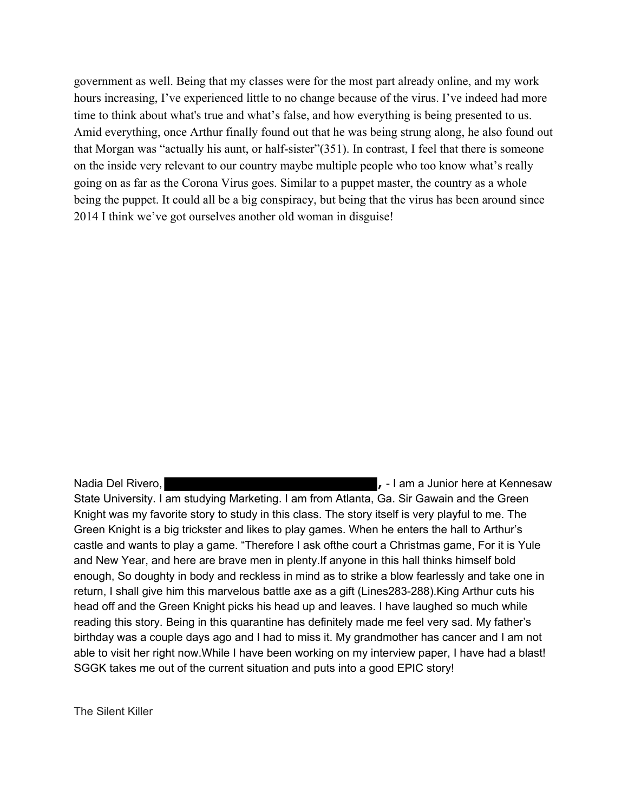government as well. Being that my classes were for the most part already online, and my work hours increasing, I've experienced little to no change because of the virus. I've indeed had more time to think about what's true and what's false, and how everything is being presented to us. Amid everything, once Arthur finally found out that he was being strung along, he also found out that Morgan was "actually his aunt, or half-sister"(351). In contrast, I feel that there is someone on the inside very relevant to our country maybe multiple people who too know what's really going on as far as the Corona Virus goes. Similar to a puppet master, the country as a whole being the puppet. It could all be a big conspiracy, but being that the virus has been around since 2014 I think we've got ourselves another old woman in disguise!

Nadia Del Rivero, *notally a manufacture of the Camerano Community* **1 am a Junior here at Kennesaw** State University. I am studying Marketing. I am from Atlanta, Ga. Sir Gawain and the Green Knight was my favorite story to study in this class. The story itself is very playful to me. The Green Knight is a big trickster and likes to play games. When he enters the hall to Arthur's castle and wants to play a game. "Therefore I ask ofthe court a Christmas game, For it is Yule and New Year, and here are brave men in plenty.If anyone in this hall thinks himself bold enough, So doughty in body and reckless in mind as to strike a blow fearlessly and take one in return, I shall give him this marvelous battle axe as a gift (Lines283-288).King Arthur cuts his head off and the Green Knight picks his head up and leaves. I have laughed so much while reading this story. Being in this quarantine has definitely made me feel very sad. My father's birthday was a couple days ago and I had to miss it. My grandmother has cancer and I am not able to visit her right now.While I have been working on my interview paper, I have had a blast! SGGK takes me out of the current situation and puts into a good EPIC story!

The Silent Killer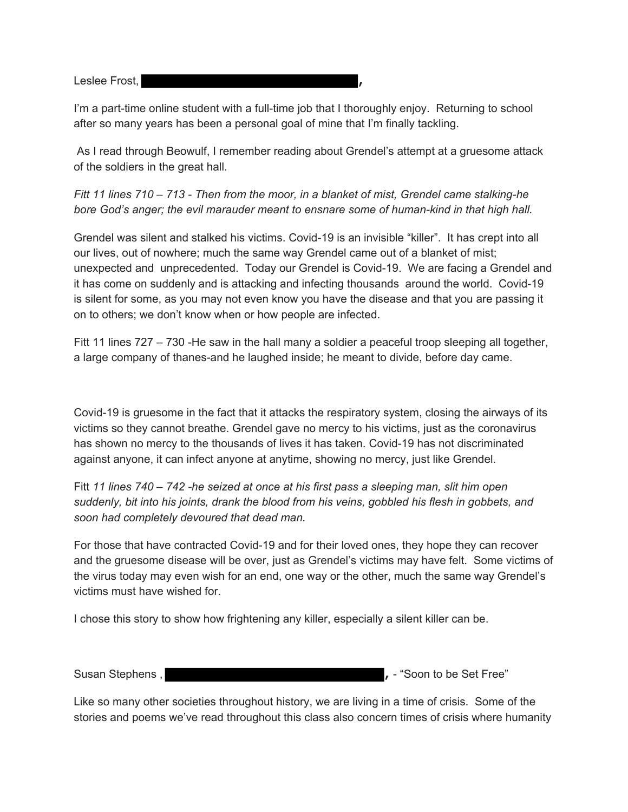Leslee Frost, **,**

I'm a part-time online student with a full-time job that I thoroughly enjoy. Returning to school after so many years has been a personal goal of mine that I'm finally tackling.

 As I read through Beowulf, I remember reading about Grendel's attempt at a gruesome attack of the soldiers in the great hall.

*Fitt 11 lines 710 – 713 - Then from the moor, in a blanket of mist, Grendel came stalking-he bore God's anger; the evil marauder meant to ensnare some of human-kind in that high hall.*

Grendel was silent and stalked his victims. Covid-19 is an invisible "killer". It has crept into all our lives, out of nowhere; much the same way Grendel came out of a blanket of mist; unexpected and unprecedented. Today our Grendel is Covid-19. We are facing a Grendel and it has come on suddenly and is attacking and infecting thousands around the world. Covid-19 is silent for some, as you may not even know you have the disease and that you are passing it on to others; we don't know when or how people are infected.

Fitt 11 lines 727 – 730 -He saw in the hall many a soldier a peaceful troop sleeping all together, a large company of thanes-and he laughed inside; he meant to divide, before day came.

Covid-19 is gruesome in the fact that it attacks the respiratory system, closing the airways of its victims so they cannot breathe. Grendel gave no mercy to his victims, just as the coronavirus has shown no mercy to the thousands of lives it has taken. Covid-19 has not discriminated against anyone, it can infect anyone at anytime, showing no mercy, just like Grendel.

Fitt *11 lines 740 – 742 -he seized at once at his first pass a sleeping man, slit him open suddenly, bit into his joints, drank the blood from his veins, gobbled his flesh in gobbets, and soon had completely devoured that dead man.*

For those that have contracted Covid-19 and for their loved ones, they hope they can recover and the gruesome disease will be over, just as Grendel's victims may have felt. Some victims of the virus today may even wish for an end, one way or the other, much the same way Grendel's victims must have wished for.

I chose this story to show how frightening any killer, especially a silent killer can be.

Susan Stephens , **Susan Stephens , and Susan Stephens , and Susan Stephens , and Susan Stephens , and Susan Stephens , and Susan Stephens , and Susan Stephens , and Susan Stephens , and Susan Stephens , and Susan Stephens** 

Like so many other societies throughout history, we are living in a time of crisis. Some of the stories and poems we've read throughout this class also concern times of crisis where humanity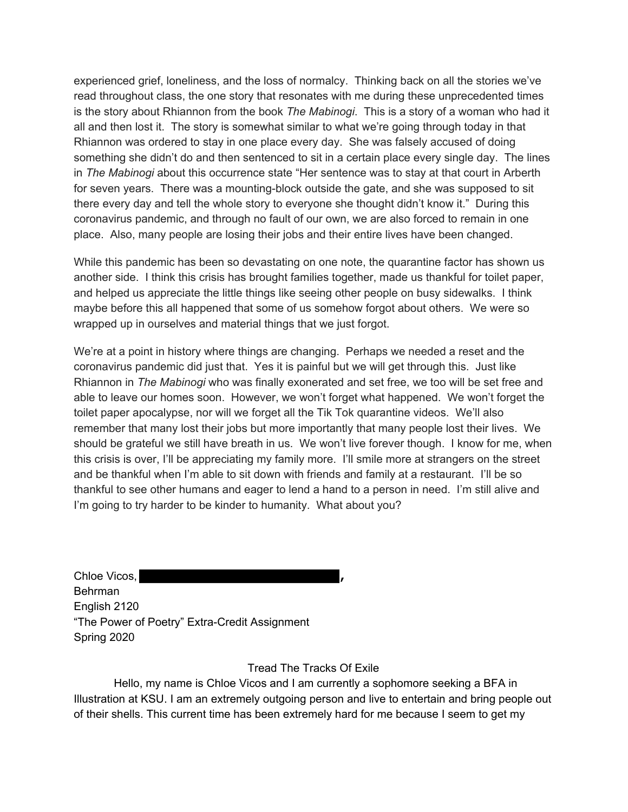experienced grief, loneliness, and the loss of normalcy. Thinking back on all the stories we've read throughout class, the one story that resonates with me during these unprecedented times is the story about Rhiannon from the book *The Mabinogi*. This is a story of a woman who had it all and then lost it. The story is somewhat similar to what we're going through today in that Rhiannon was ordered to stay in one place every day. She was falsely accused of doing something she didn't do and then sentenced to sit in a certain place every single day. The lines in *The Mabinogi* about this occurrence state "Her sentence was to stay at that court in Arberth for seven years. There was a mounting-block outside the gate, and she was supposed to sit there every day and tell the whole story to everyone she thought didn't know it." During this coronavirus pandemic, and through no fault of our own, we are also forced to remain in one place. Also, many people are losing their jobs and their entire lives have been changed.

While this pandemic has been so devastating on one note, the quarantine factor has shown us another side. I think this crisis has brought families together, made us thankful for toilet paper, and helped us appreciate the little things like seeing other people on busy sidewalks. I think maybe before this all happened that some of us somehow forgot about others. We were so wrapped up in ourselves and material things that we just forgot.

We're at a point in history where things are changing. Perhaps we needed a reset and the coronavirus pandemic did just that. Yes it is painful but we will get through this. Just like Rhiannon in *The Mabinogi* who was finally exonerated and set free, we too will be set free and able to leave our homes soon. However, we won't forget what happened. We won't forget the toilet paper apocalypse, nor will we forget all the Tik Tok quarantine videos. We'll also remember that many lost their jobs but more importantly that many people lost their lives. We should be grateful we still have breath in us. We won't live forever though. I know for me, when this crisis is over, I'll be appreciating my family more. I'll smile more at strangers on the street and be thankful when I'm able to sit down with friends and family at a restaurant. I'll be so thankful to see other humans and eager to lend a hand to a person in need. I'm still alive and I'm going to try harder to be kinder to humanity. What about you?

Chloe Vicos, **,** Behrman English 2120 "The Power of Poetry" Extra-Credit Assignment Spring 2020

# Tread The Tracks Of Exile

 Hello, my name is Chloe Vicos and I am currently a sophomore seeking a BFA in Illustration at KSU. I am an extremely outgoing person and live to entertain and bring people out of their shells. This current time has been extremely hard for me because I seem to get my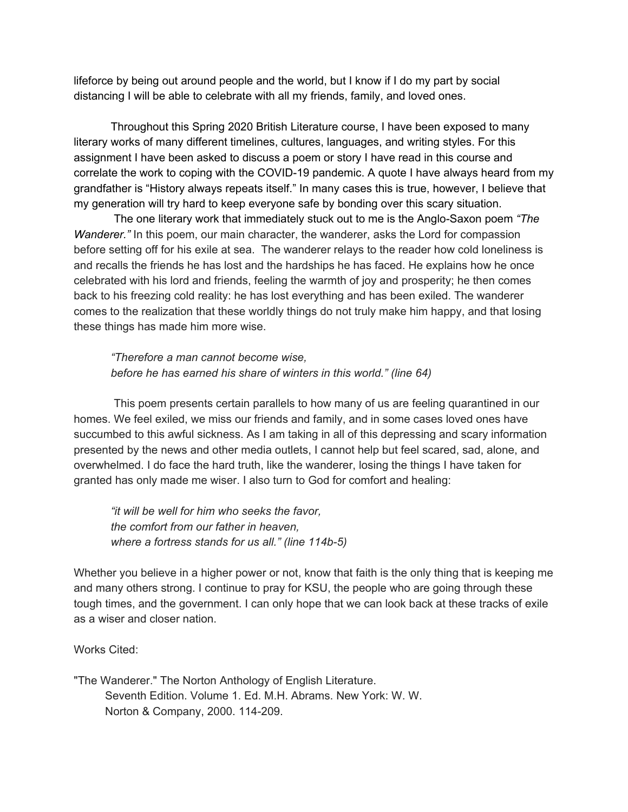lifeforce by being out around people and the world, but I know if I do my part by social distancing I will be able to celebrate with all my friends, family, and loved ones.

Throughout this Spring 2020 British Literature course, I have been exposed to many literary works of many different timelines, cultures, languages, and writing styles. For this assignment I have been asked to discuss a poem or story I have read in this course and correlate the work to coping with the COVID-19 pandemic. A quote I have always heard from my grandfather is "History always repeats itself." In many cases this is true, however, I believe that my generation will try hard to keep everyone safe by bonding over this scary situation.

 The one literary work that immediately stuck out to me is the Anglo-Saxon poem *"The Wanderer."* In this poem, our main character, the wanderer, asks the Lord for compassion before setting off for his exile at sea. The wanderer relays to the reader how cold loneliness is and recalls the friends he has lost and the hardships he has faced. He explains how he once celebrated with his lord and friends, feeling the warmth of joy and prosperity; he then comes back to his freezing cold reality: he has lost everything and has been exiled. The wanderer comes to the realization that these worldly things do not truly make him happy, and that losing these things has made him more wise.

*"Therefore a man cannot become wise, before he has earned his share of winters in this world." (line 64)*

 This poem presents certain parallels to how many of us are feeling quarantined in our homes. We feel exiled, we miss our friends and family, and in some cases loved ones have succumbed to this awful sickness. As I am taking in all of this depressing and scary information presented by the news and other media outlets, I cannot help but feel scared, sad, alone, and overwhelmed. I do face the hard truth, like the wanderer, losing the things I have taken for granted has only made me wiser. I also turn to God for comfort and healing:

*"it will be well for him who seeks the favor, the comfort from our father in heaven, where a fortress stands for us all." (line 114b-5)*

Whether you believe in a higher power or not, know that faith is the only thing that is keeping me and many others strong. I continue to pray for KSU, the people who are going through these tough times, and the government. I can only hope that we can look back at these tracks of exile as a wiser and closer nation.

# Works Cited:

"The Wanderer." The Norton Anthology of English Literature. Seventh Edition. Volume 1. Ed. M.H. Abrams. New York: W. W. Norton & Company, 2000. 114-209.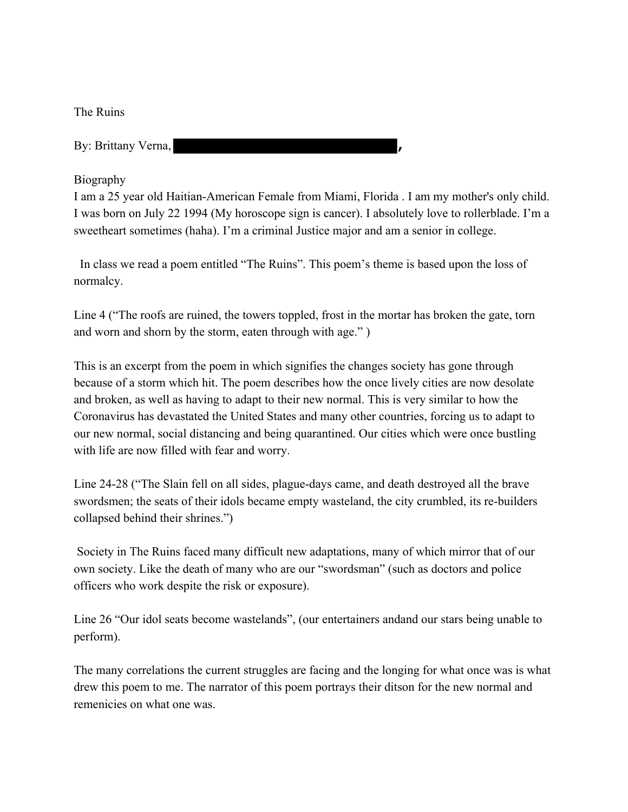The Ruins

By: Brittany Verna, **,**

### Biography

I am a 25 year old Haitian-American Female from Miami, Florida . I am my mother's only child. I was born on July 22 1994 (My horoscope sign is cancer). I absolutely love to rollerblade. I'm a sweetheart sometimes (haha). I'm a criminal Justice major and am a senior in college.

 In class we read a poem entitled "The Ruins". This poem's theme is based upon the loss of normalcy.

Line 4 ("The roofs are ruined, the towers toppled, frost in the mortar has broken the gate, torn and worn and shorn by the storm, eaten through with age." )

This is an excerpt from the poem in which signifies the changes society has gone through because of a storm which hit. The poem describes how the once lively cities are now desolate and broken, as well as having to adapt to their new normal. This is very similar to how the Coronavirus has devastated the United States and many other countries, forcing us to adapt to our new normal, social distancing and being quarantined. Our cities which were once bustling with life are now filled with fear and worry.

Line 24-28 ("The Slain fell on all sides, plague-days came, and death destroyed all the brave swordsmen; the seats of their idols became empty wasteland, the city crumbled, its re-builders collapsed behind their shrines.")

 Society in The Ruins faced many difficult new adaptations, many of which mirror that of our own society. Like the death of many who are our "swordsman" (such as doctors and police officers who work despite the risk or exposure).

Line 26 "Our idol seats become wastelands", (our entertainers andand our stars being unable to perform).

The many correlations the current struggles are facing and the longing for what once was is what drew this poem to me. The narrator of this poem portrays their ditson for the new normal and remenicies on what one was.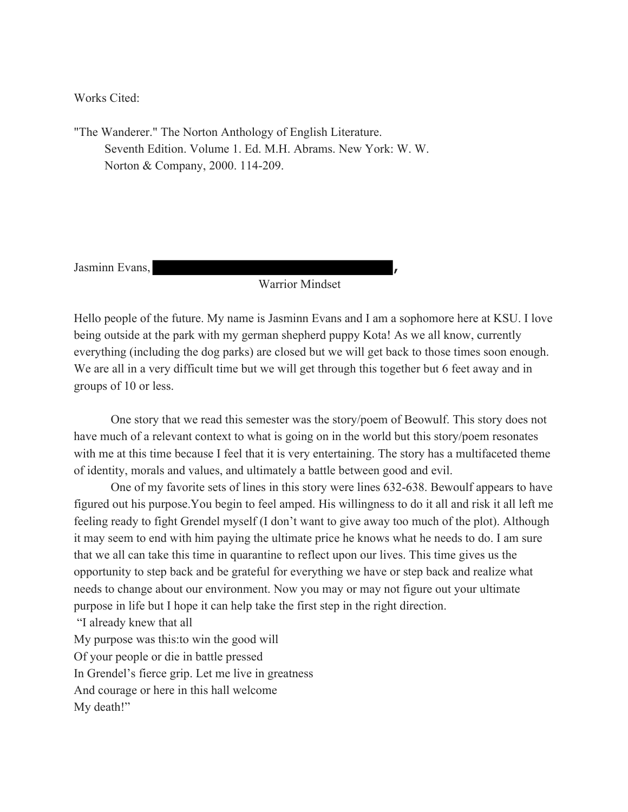Works Cited:

"The Wanderer." The Norton Anthology of English Literature. Seventh Edition. Volume 1. Ed. M.H. Abrams. New York: W. W. Norton & Company, 2000. 114-209.

Jasminn Evans, **,**

# Warrior Mindset

Hello people of the future. My name is Jasminn Evans and I am a sophomore here at KSU. I love being outside at the park with my german shepherd puppy Kota! As we all know, currently everything (including the dog parks) are closed but we will get back to those times soon enough. We are all in a very difficult time but we will get through this together but 6 feet away and in groups of 10 or less.

One story that we read this semester was the story/poem of Beowulf. This story does not have much of a relevant context to what is going on in the world but this story/poem resonates with me at this time because I feel that it is very entertaining. The story has a multifaceted theme of identity, morals and values, and ultimately a battle between good and evil.

One of my favorite sets of lines in this story were lines 632-638. Bewoulf appears to have figured out his purpose.You begin to feel amped. His willingness to do it all and risk it all left me feeling ready to fight Grendel myself (I don't want to give away too much of the plot). Although it may seem to end with him paying the ultimate price he knows what he needs to do. I am sure that we all can take this time in quarantine to reflect upon our lives. This time gives us the opportunity to step back and be grateful for everything we have or step back and realize what needs to change about our environment. Now you may or may not figure out your ultimate purpose in life but I hope it can help take the first step in the right direction.

 "I already knew that all My purpose was this:to win the good will Of your people or die in battle pressed In Grendel's fierce grip. Let me live in greatness And courage or here in this hall welcome My death!"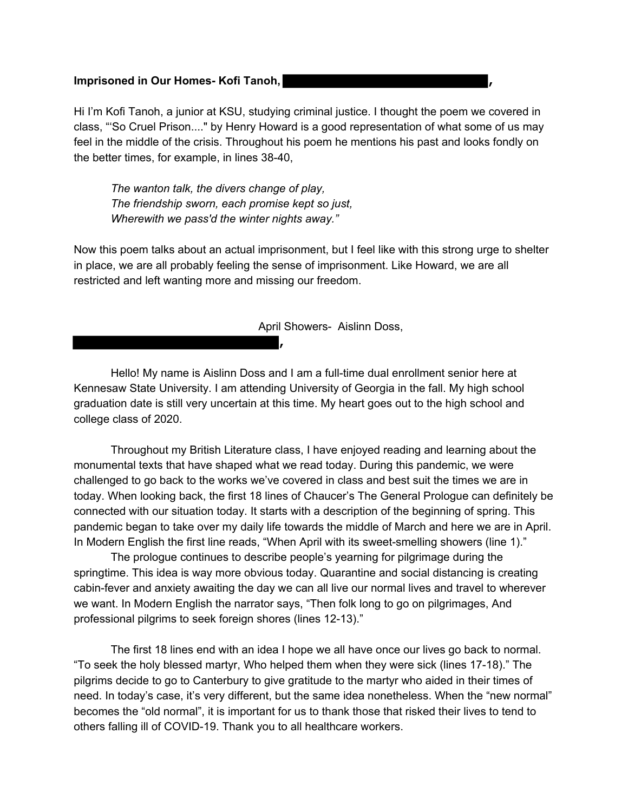#### **Imprisoned in Our Homes- Kofi Tanoh, ,**

Hi I'm Kofi Tanoh, a junior at KSU, studying criminal justice. I thought the poem we covered in class, "'So Cruel Prison...." by Henry Howard is a good representation of what some of us may feel in the middle of the crisis. Throughout his poem he mentions his past and looks fondly on the better times, for example, in lines 38-40,

*The wanton talk, the divers change of play, The friendship sworn, each promise kept so just, Wherewith we pass'd the winter nights away."*

Now this poem talks about an actual imprisonment, but I feel like with this strong urge to shelter in place, we are all probably feeling the sense of imprisonment. Like Howard, we are all restricted and left wanting more and missing our freedom.

April Showers- Aislinn Doss,

Hello! My name is Aislinn Doss and I am a full-time dual enrollment senior here at Kennesaw State University. I am attending University of Georgia in the fall. My high school graduation date is still very uncertain at this time. My heart goes out to the high school and college class of 2020.

**,**

Throughout my British Literature class, I have enjoyed reading and learning about the monumental texts that have shaped what we read today. During this pandemic, we were challenged to go back to the works we've covered in class and best suit the times we are in today. When looking back, the first 18 lines of Chaucer's The General Prologue can definitely be connected with our situation today. It starts with a description of the beginning of spring. This pandemic began to take over my daily life towards the middle of March and here we are in April. In Modern English the first line reads, "When April with its sweet-smelling showers (line 1)."

The prologue continues to describe people's yearning for pilgrimage during the springtime. This idea is way more obvious today. Quarantine and social distancing is creating cabin-fever and anxiety awaiting the day we can all live our normal lives and travel to wherever we want. In Modern English the narrator says, "Then folk long to go on pilgrimages, And professional pilgrims to seek foreign shores (lines 12-13)."

The first 18 lines end with an idea I hope we all have once our lives go back to normal. "To seek the holy blessed martyr, Who helped them when they were sick (lines 17-18)." The pilgrims decide to go to Canterbury to give gratitude to the martyr who aided in their times of need. In today's case, it's very different, but the same idea nonetheless. When the "new normal" becomes the "old normal", it is important for us to thank those that risked their lives to tend to others falling ill of COVID-19. Thank you to all healthcare workers.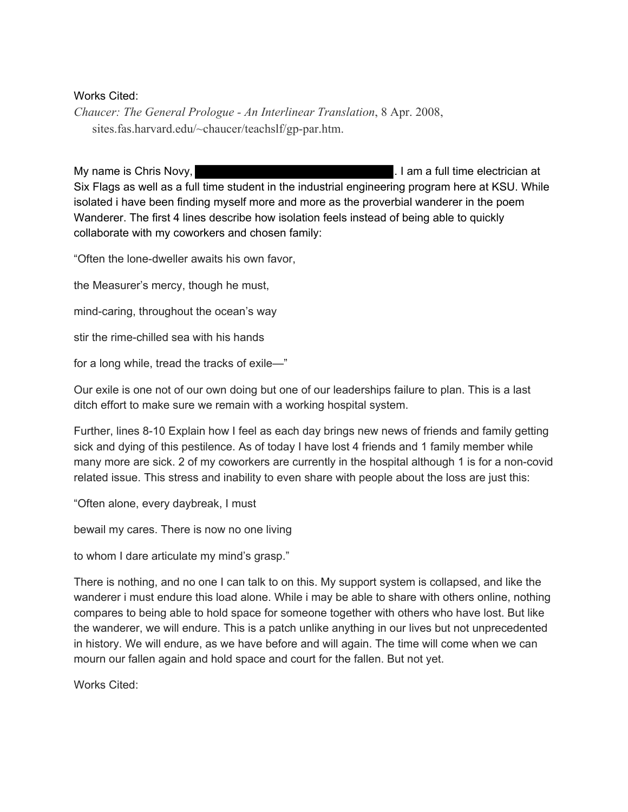# Works Cited:

*Chaucer: The General Prologue - An Interlinear Translation*, 8 Apr. 2008, sites.fas.harvard.edu/~chaucer/teachslf/gp-par.htm.

My name is Chris Novy, **Example 20** and the setter of the latter of the latter of the latter of the latter of the latter of the latter of the latter of the latter of the latter of the latter of the latter of the latter of Six Flags as well as a full time student in the industrial engineering program here at KSU. While isolated i have been finding myself more and more as the proverbial wanderer in the poem Wanderer. The first 4 lines describe how isolation feels instead of being able to quickly collaborate with my coworkers and chosen family:

"Often the lone-dweller awaits his own favor,

the Measurer's mercy, though he must,

mind-caring, throughout the ocean's way

stir the rime-chilled sea with his hands

for a long while, tread the tracks of exile—"

Our exile is one not of our own doing but one of our leaderships failure to plan. This is a last ditch effort to make sure we remain with a working hospital system.

Further, lines 8-10 Explain how I feel as each day brings new news of friends and family getting sick and dying of this pestilence. As of today I have lost 4 friends and 1 family member while many more are sick. 2 of my coworkers are currently in the hospital although 1 is for a non-covid related issue. This stress and inability to even share with people about the loss are just this:

"Often alone, every daybreak, I must

bewail my cares. There is now no one living

to whom I dare articulate my mind's grasp."

There is nothing, and no one I can talk to on this. My support system is collapsed, and like the wanderer i must endure this load alone. While i may be able to share with others online, nothing compares to being able to hold space for someone together with others who have lost. But like the wanderer, we will endure. This is a patch unlike anything in our lives but not unprecedented in history. We will endure, as we have before and will again. The time will come when we can mourn our fallen again and hold space and court for the fallen. But not yet.

Works Cited: